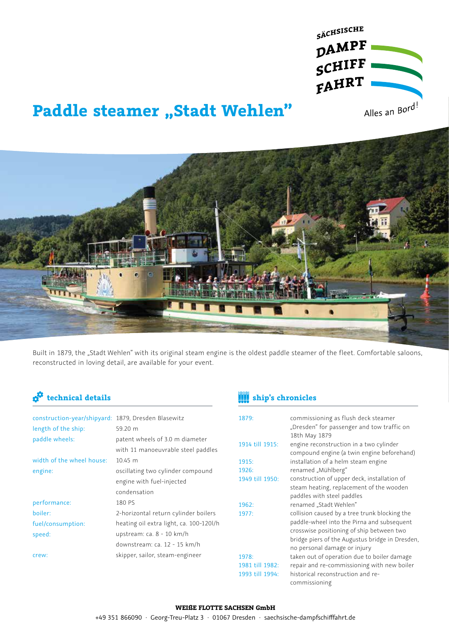

# **Paddle steamer "Stadt Wehlen"**



Built in 1879, the "Stadt Wehlen" with its original steam engine is the oldest paddle steamer of the fleet. Comfortable saloons, reconstructed in loving detail, are available for your event.

| construction-year/shipyard: 1879, Dresden Blasewitz |                                         |
|-----------------------------------------------------|-----------------------------------------|
| length of the ship:                                 | 59.20 m                                 |
| paddle wheels:                                      | patent wheels of 3.0 m diameter         |
|                                                     | with 11 manoeuvrable steel paddles      |
| width of the wheel house:                           | $10.45 \; m$                            |
| engine:                                             | oscillating two cylinder compound       |
|                                                     | engine with fuel-injected               |
|                                                     | condensation                            |
| performance:                                        | 180 PS                                  |
| boiler:                                             | 2-horizontal return cylinder boilers    |
| fuel/consumption:                                   | heating oil extra light, ca. 100-120l/h |
| speed:                                              | upstream: ca. 8 - 10 km/h               |
|                                                     | downstream: ca. 12 - 15 km/h            |
| crew:                                               | skipper, sailor, steam-engineer         |
|                                                     |                                         |

## **technical details ship's chronicles**

| 1879:           | commissioning as flush deck steamer<br>"Dresden" for passenger and tow traffic on<br>18th May 1879 |
|-----------------|----------------------------------------------------------------------------------------------------|
| 1914 till 1915: | engine reconstruction in a two cylinder                                                            |
|                 | compound engine (a twin engine beforehand)                                                         |
| 1915:           | installation of a helm steam engine                                                                |
| 1926:           | renamed "Mühlberg"                                                                                 |
| 1949 till 1950: | construction of upper deck, installation of                                                        |
|                 | steam heating, replacement of the wooden                                                           |
|                 | paddles with steel paddles                                                                         |
| 1962:           | renamed "Stadt Wehlen"                                                                             |
| 1977:           | collision caused by a tree trunk blocking the                                                      |
|                 | paddle-wheel into the Pirna and subsequent                                                         |
|                 | crosswise positioning of ship between two                                                          |
|                 | bridge piers of the Augustus bridge in Dresden,                                                    |
|                 | no personal damage or injury                                                                       |
| 1978:           | taken out of operation due to boiler damage                                                        |
| 1981 till 1982: | repair and re-commissioning with new boiler                                                        |
| 1993 till 1994: | historical reconstruction and re-                                                                  |
|                 | commissioning                                                                                      |